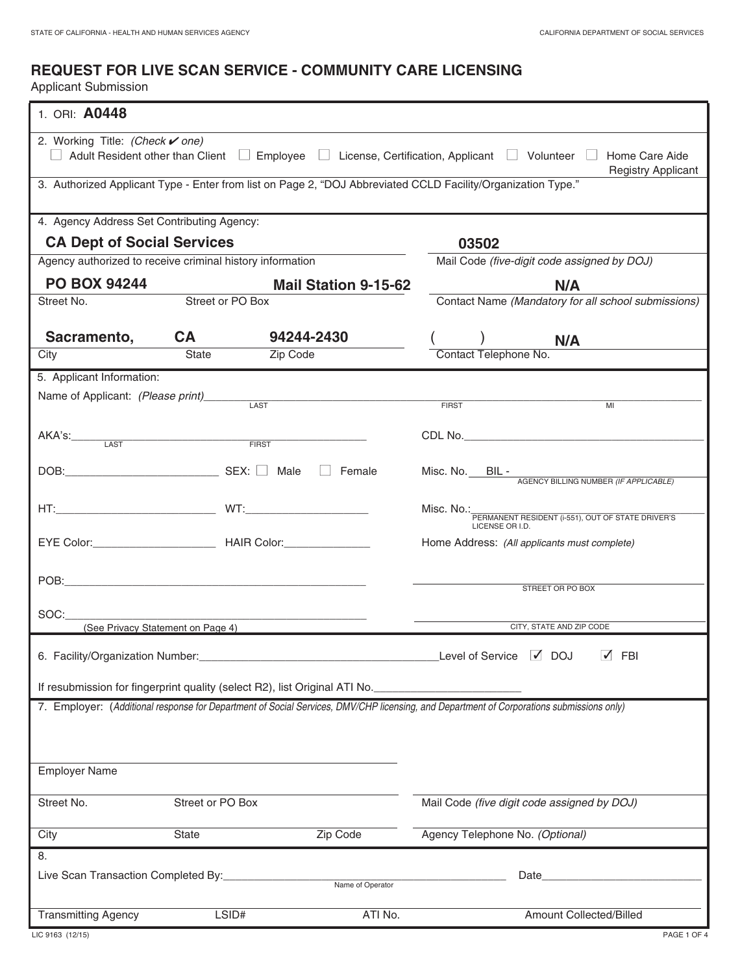# **REQUEST FOR LIVE SCAN SERVICE - COMMUNITY CARE LICENSING**

Applicant Submission

| 1. ORI: A0448                                                                                                                             |                                   |                                                                            |                                                                      |  |  |  |
|-------------------------------------------------------------------------------------------------------------------------------------------|-----------------------------------|----------------------------------------------------------------------------|----------------------------------------------------------------------|--|--|--|
| 2. Working Title: (Check v one)                                                                                                           |                                   |                                                                            |                                                                      |  |  |  |
| Adult Resident other than Client $\Box$ Employee $\Box$ License, Certification, Applicant $\Box$ Volunteer $\Box$ Home Care Aide          |                                   |                                                                            |                                                                      |  |  |  |
| <b>Registry Applicant</b><br>3. Authorized Applicant Type - Enter from list on Page 2, "DOJ Abbreviated CCLD Facility/Organization Type." |                                   |                                                                            |                                                                      |  |  |  |
|                                                                                                                                           |                                   |                                                                            |                                                                      |  |  |  |
| 4. Agency Address Set Contributing Agency:                                                                                                |                                   |                                                                            |                                                                      |  |  |  |
| <b>CA Dept of Social Services</b>                                                                                                         |                                   |                                                                            | 03502                                                                |  |  |  |
| Agency authorized to receive criminal history information                                                                                 |                                   |                                                                            | Mail Code (five-digit code assigned by DOJ)                          |  |  |  |
| <b>PO BOX 94244</b>                                                                                                                       |                                   | <b>Mail Station 9-15-62</b>                                                | N/A                                                                  |  |  |  |
| Street No.                                                                                                                                | Street or PO Box                  |                                                                            | Contact Name (Mandatory for all school submissions)                  |  |  |  |
| Sacramento,                                                                                                                               | <b>CA</b>                         | 94244-2430                                                                 | N/A                                                                  |  |  |  |
| City                                                                                                                                      | State                             | Zip Code                                                                   | Contact Telephone No.                                                |  |  |  |
| 5. Applicant Information:                                                                                                                 |                                   |                                                                            |                                                                      |  |  |  |
| Name of Applicant: (Please print)                                                                                                         |                                   |                                                                            | <b>FIRST</b><br>MI                                                   |  |  |  |
|                                                                                                                                           |                                   |                                                                            |                                                                      |  |  |  |
| AKA's: LAST                                                                                                                               |                                   | FIRST                                                                      |                                                                      |  |  |  |
|                                                                                                                                           |                                   |                                                                            |                                                                      |  |  |  |
|                                                                                                                                           |                                   | $\Box$ Female                                                              | Misc. No. BIL - AGENCY BILLING NUMBER (IF APPLICABLE)                |  |  |  |
|                                                                                                                                           |                                   |                                                                            | Misc. No.:                                                           |  |  |  |
|                                                                                                                                           |                                   |                                                                            | PERMANENT RESIDENT (i-551), OUT OF STATE DRIVER'S<br>LICENSE OR I.D. |  |  |  |
|                                                                                                                                           |                                   |                                                                            | Home Address: (All applicants must complete)                         |  |  |  |
|                                                                                                                                           |                                   |                                                                            |                                                                      |  |  |  |
|                                                                                                                                           |                                   |                                                                            | STREET OR PO BOX                                                     |  |  |  |
|                                                                                                                                           |                                   |                                                                            |                                                                      |  |  |  |
| SOC:                                                                                                                                      | (See Privacy Statement on Page 4) | <u> 1980 - Andrea Andrew Maria (h. 1980).</u>                              | CITY, STATE AND ZIP CODE                                             |  |  |  |
|                                                                                                                                           |                                   |                                                                            | $\sqrt{ }$ FBI<br>$\sqrt{}$ DOJ                                      |  |  |  |
| 6. Facility/Organization Number:                                                                                                          |                                   |                                                                            | Level of Service                                                     |  |  |  |
|                                                                                                                                           |                                   | If resubmission for fingerprint quality (select R2), list Original ATI No. |                                                                      |  |  |  |
| 7. Employer: (Additional response for Department of Social Services, DMV/CHP licensing, and Department of Corporations submissions only)  |                                   |                                                                            |                                                                      |  |  |  |
|                                                                                                                                           |                                   |                                                                            |                                                                      |  |  |  |
|                                                                                                                                           |                                   |                                                                            |                                                                      |  |  |  |
| <b>Employer Name</b>                                                                                                                      |                                   |                                                                            |                                                                      |  |  |  |
|                                                                                                                                           |                                   |                                                                            |                                                                      |  |  |  |
| Street No.                                                                                                                                | Street or PO Box                  |                                                                            | Mail Code (five digit code assigned by DOJ)                          |  |  |  |
| City                                                                                                                                      | State                             | Zip Code                                                                   | Agency Telephone No. (Optional)                                      |  |  |  |
| 8.                                                                                                                                        |                                   |                                                                            |                                                                      |  |  |  |
| Live Scan Transaction Completed By:<br>Date<br>Name of Operator                                                                           |                                   |                                                                            |                                                                      |  |  |  |
|                                                                                                                                           |                                   |                                                                            |                                                                      |  |  |  |
| <b>Transmitting Agency</b>                                                                                                                | LSID#                             | ATI No.                                                                    | Amount Collected/Billed                                              |  |  |  |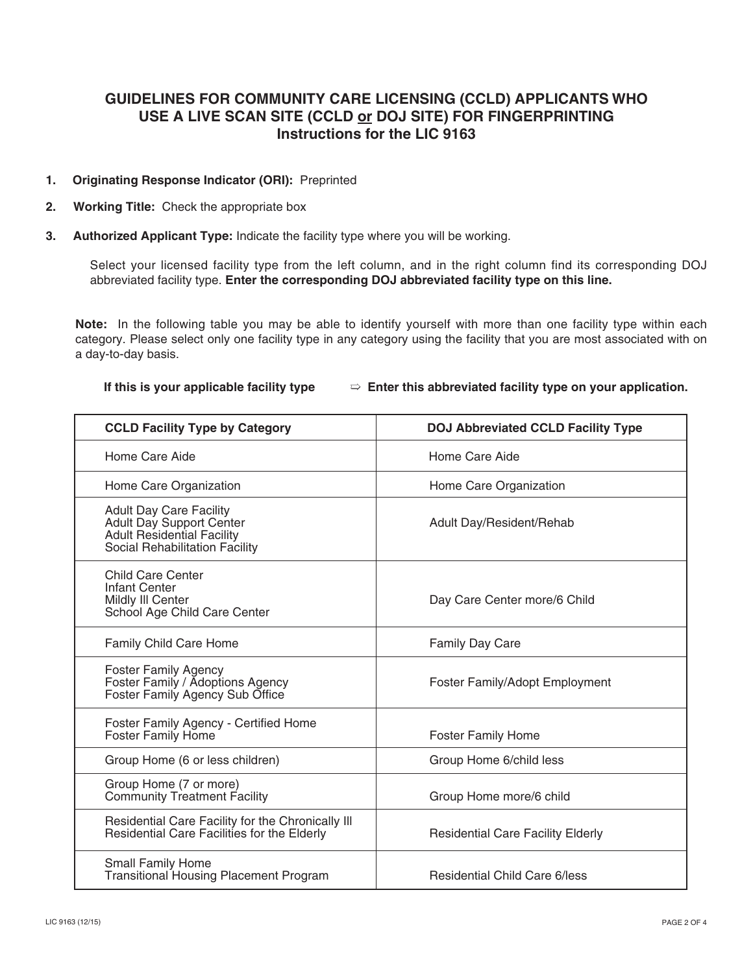# **GUIDELINES FOR COMMUNITY CARE LICENSING (CCLD) APPLICANTS WHO USE A LIVE SCAN SITE (CCLD or DOJ SITE) FOR FINGERPRINTING Instructions for the LIC 9163**

### **1. Originating Response Indicator (ORI):** Preprinted

- **2. Working Title:** Check the appropriate box
- **3. Authorized Applicant Type:** Indicate the facility type where you will be working.

 Select your licensed facility type from the left column, and in the right column find its corresponding DOJ abbreviated facility type. **Enter the corresponding DOJ abbreviated facility type on this line.**

 **Note:** In the following table you may be able to identify yourself with more than one facility type within each category. Please select only one facility type in any category using the facility that you are most associated with on a day-to-day basis.

#### **If this is your applicable facility type Enter this abbreviated facility type on your application.**

| <b>CCLD Facility Type by Category</b>                                                                                                    | <b>DOJ Abbreviated CCLD Facility Type</b> |  |
|------------------------------------------------------------------------------------------------------------------------------------------|-------------------------------------------|--|
| Home Care Aide                                                                                                                           | Home Care Aide                            |  |
| Home Care Organization                                                                                                                   | Home Care Organization                    |  |
| <b>Adult Day Care Facility</b><br><b>Adult Day Support Center</b><br><b>Adult Residential Facility</b><br>Social Rehabilitation Facility | Adult Day/Resident/Rehab                  |  |
| <b>Child Care Center</b><br>Infant Center<br>Mildly III Center<br>School Age Child Care Center                                           | Day Care Center more/6 Child              |  |
| Family Child Care Home                                                                                                                   | Family Day Care                           |  |
| <b>Foster Family Agency</b><br>Foster Family / Adoptions Agency<br>Foster Family Agency Sub Office                                       | Foster Family/Adopt Employment            |  |
| Foster Family Agency - Certified Home<br>Foster Family Home                                                                              | <b>Foster Family Home</b>                 |  |
| Group Home (6 or less children)                                                                                                          | Group Home 6/child less                   |  |
| Group Home (7 or more)<br><b>Community Treatment Facility</b>                                                                            | Group Home more/6 child                   |  |
| Residential Care Facility for the Chronically III<br>Residential Care Facilities for the Elderly                                         | <b>Residential Care Facility Elderly</b>  |  |
| <b>Small Family Home</b><br><b>Transitional Housing Placement Program</b>                                                                | <b>Residential Child Care 6/less</b>      |  |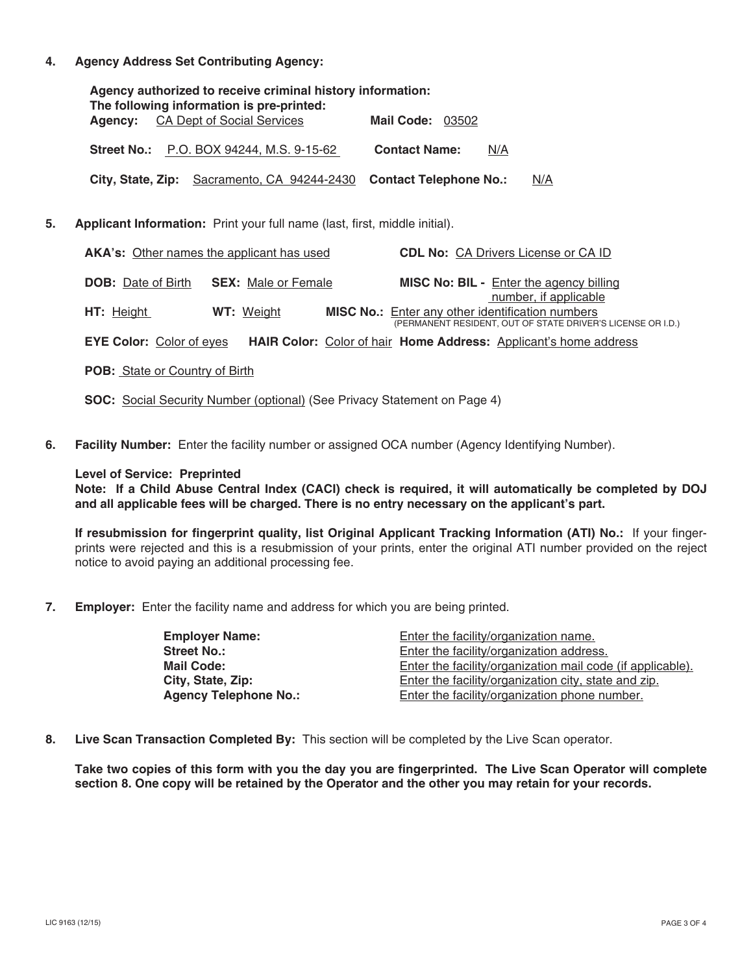**. Agency Address Set Contributing Agency:**

| Agency authorized to receive criminal history information:<br>The following information is pre-printed: |                             |     |  |  |  |
|---------------------------------------------------------------------------------------------------------|-----------------------------|-----|--|--|--|
| <b>Agency:</b> CA Dept of Social Services                                                               | <b>Mail Code: 03502</b>     |     |  |  |  |
| <b>Street No.:</b> P.O. BOX 94244, M.S. 9-15-62                                                         | <b>Contact Name:</b><br>N/A |     |  |  |  |
| City, State, Zip: Sacramento, CA 94244-2430 Contact Telephone No.:                                      |                             | N/A |  |  |  |

**5. Applicant Information:** Print your full name (last, first, middle initial).

| <b>AKA's:</b> Other names the applicant has used                                                                  |                            | <b>CDL No: CA Drivers License or CA ID</b>                                                                                               |  |
|-------------------------------------------------------------------------------------------------------------------|----------------------------|------------------------------------------------------------------------------------------------------------------------------------------|--|
| <b>DOB:</b> Date of Birth                                                                                         | <b>SEX:</b> Male or Female | MISC No: BIL - Enter the agency billing                                                                                                  |  |
| HT: Height                                                                                                        | WT: Weight                 | number, if applicable<br>MISC No.: Enter any other identification numbers<br>(PERMANENT RESIDENT, OUT OF STATE DRIVER'S LICENSE OR I.D.) |  |
| <b>EYE Color: Color of eyes</b><br><b>HAIR Color:</b> Color of hair <b>Home Address:</b> Applicant's home address |                            |                                                                                                                                          |  |
| <b>POB:</b> State or Country of Birth                                                                             |                            |                                                                                                                                          |  |

- **SOC:** Social Security Number (optional) (See Privacy Statement on Page 4)
- **6. Facility Number:** Enter the facility number or assigned OCA number (Agency Identifying Number).

#### **Level of Service: Preprinted**

**Note: If a Child Abuse Central Index (CACI) check is required, it will automatically be completed by DOJ and all applicable fees will be charged. There is no entry necessary on the applicant's part.**

**If resubmission for fingerprint quality, list Original Applicant Tracking Information (ATI) No.:** If your fingerprints were rejected and this is a resubmission of your prints, enter the original ATI number provided on the reject notice to avoid paying an additional processing fee.

**7. Employer:** Enter the facility name and address for which you are being printed.

| <b>Employer Name:</b>        | Enter the facility/organization name.                      |
|------------------------------|------------------------------------------------------------|
| <b>Street No.:</b>           | Enter the facility/organization address.                   |
| Mail Code:                   | Enter the facility/organization mail code (if applicable). |
| City, State, Zip:            | Enter the facility/organization city, state and zip.       |
| <b>Agency Telephone No.:</b> | Enter the facility/organization phone number.              |

**8. Live Scan Transaction Completed By:** This section will be completed by the Live Scan operator.

**Take two copies of this form with you the day you are fingerprinted. The Live Scan Operator will complete section 8. One copy will be retained by the Operator and the other you may retain for your records.**